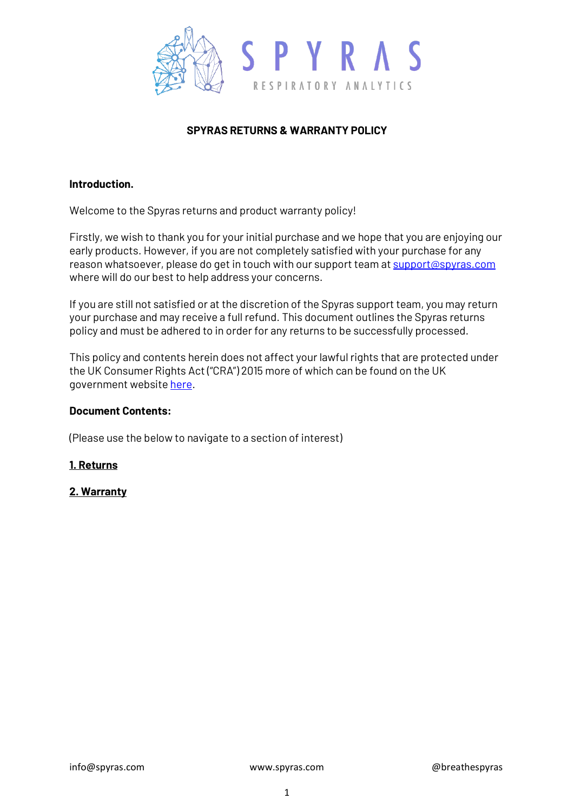

# **SPYRAS RETURNS & WARRANTY POLICY**

### **Introduction.**

Welcome to the Spyras returns and product warranty policy!

Firstly, we wish to thank you for your initial purchase and we hope that you are enjoying our early products. However, if you are not completely satisfied with your purchase for any reason whatsoever, please do get in touch with our support team a[t support@spyras.com](mailto:support@spyras.com) where will do our best to help address your concerns.

If you are still not satisfied or at the discretion of the Spyras support team, you may return your purchase and may receive a full refund. This document outlines the Spyras returns policy and must be adhered to in order for any returns to be successfully processed.

This policy and contents herein does not affect your lawful rights that are protected under the UK Consumer Rights Act ("CRA") 2015 more of which can be found on the UK government website [here.](https://www.legislation.gov.uk/ukpga/2015/15/part/1/chapter/1/enacted)

#### **Document Contents:**

(Please use the below to navigate to a section of interest)

## **[1. Returns](https://www.spyras.com/privacy-policy)**

## **[2. Warranty](https://www.spyras.com/privacy-policy)**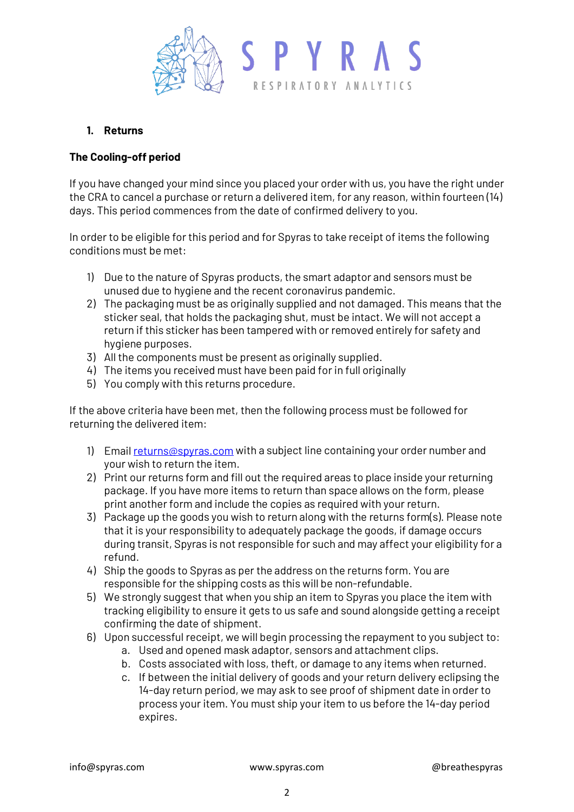

## **1. Returns**

## **The Cooling-off period**

If you have changed your mind since you placed your order with us, you have the right under the CRA to cancel a purchase or return a delivered item, for any reason, within fourteen (14) days. This period commences from the date of confirmed delivery to you.

In order to be eligible for this period and for Spyras to take receipt of items the following conditions must be met:

- 1) Due to the nature of Spyras products, the smart adaptor and sensors must be unused due to hygiene and the recent coronavirus pandemic.
- 2) The packaging must be as originally supplied and not damaged. This means that the sticker seal, that holds the packaging shut, must be intact. We will not accept a return if this sticker has been tampered with or removed entirely for safety and hygiene purposes.
- 3) All the components must be present as originally supplied.
- 4) The items you received must have been paid for in full originally
- 5) You comply with this returns procedure.

If the above criteria have been met, then the following process must be followed for returning the delivered item:

- 1) Emai[l returns@spyras.com](mailto:returns@spyras.com) with a subject line containing your order number and your wish to return the item.
- 2) Print our returns form and fill out the required areas to place inside your returning package. If you have more items to return than space allows on the form, please print another form and include the copies as required with your return.
- 3) Package up the goods you wish to return along with the returns form(s). Please note that it is your responsibility to adequately package the goods, if damage occurs during transit, Spyras is not responsible for such and may affect your eligibility for a refund.
- 4) Ship the goods to Spyras as per the address on the returns form. You are responsible for the shipping costs as this will be non-refundable.
- 5) We strongly suggest that when you ship an item to Spyras you place the item with tracking eligibility to ensure it gets to us safe and sound alongside getting a receipt confirming the date of shipment.
- 6) Upon successful receipt, we will begin processing the repayment to you subject to:
	- a. Used and opened mask adaptor, sensors and attachment clips.
	- b. Costs associated with loss, theft, or damage to any items when returned.
	- c. If between the initial delivery of goods and your return delivery eclipsing the 14-day return period, we may ask to see proof of shipment date in order to process your item. You must ship your item to us before the 14-day period expires.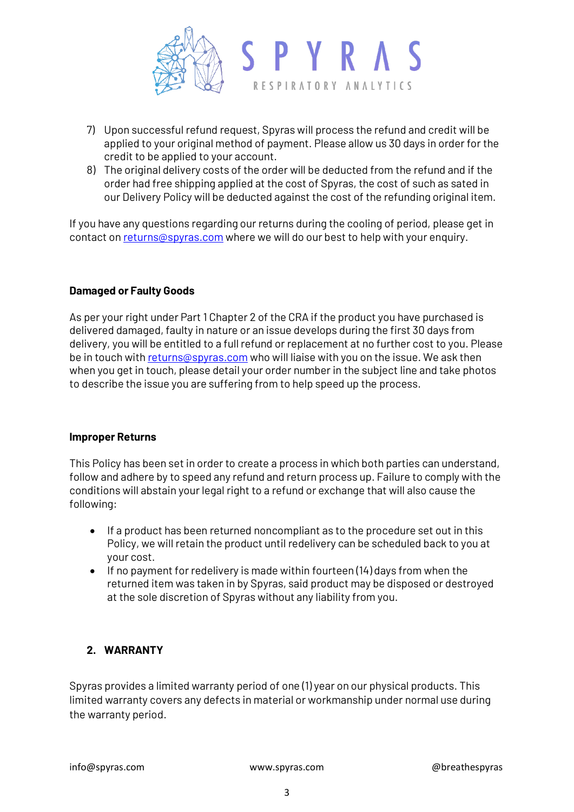

- 7) Upon successful refund request, Spyras will process the refund and credit will be applied to your original method of payment. Please allow us 30 days in order for the credit to be applied to your account.
- 8) The original delivery costs of the order will be deducted from the refund and if the order had free shipping applied at the cost of Spyras, the cost of such as sated in our Delivery Policy will be deducted against the cost of the refunding original item.

If you have any questions regarding our returns during the cooling of period, please get in contact o[n returns@spyras.com](mailto:returns@spyras.com) where we will do our best to help with your enquiry.

## **Damaged or Faulty Goods**

As per your right under Part 1 Chapter 2 of the CRA if the product you have purchased is delivered damaged, faulty in nature or an issue develops during the first 30 days from delivery, you will be entitled to a full refund or replacement at no further cost to you. Please be in touch wit[h returns@spyras.com](mailto:returns@spyras.com) who will liaise with you on the issue. We ask then when you get in touch, please detail your order number in the subject line and take photos to describe the issue you are suffering from to help speed up the process.

#### **Improper Returns**

This Policy has been set in order to create a process in which both parties can understand, follow and adhere by to speed any refund and return process up. Failure to comply with the conditions will abstain your legal right to a refund or exchange that will also cause the following:

- If a product has been returned noncompliant as to the procedure set out in this Policy, we will retain the product until redelivery can be scheduled back to you at your cost.
- If no payment for redelivery is made within fourteen (14) days from when the returned item was taken in by Spyras, said product may be disposed or destroyed at the sole discretion of Spyras without any liability from you.

# **2. WARRANTY**

Spyras provides a limited warranty period of one (1) year on our physical products. This limited warranty covers any defects in material or workmanship under normal use during the warranty period.